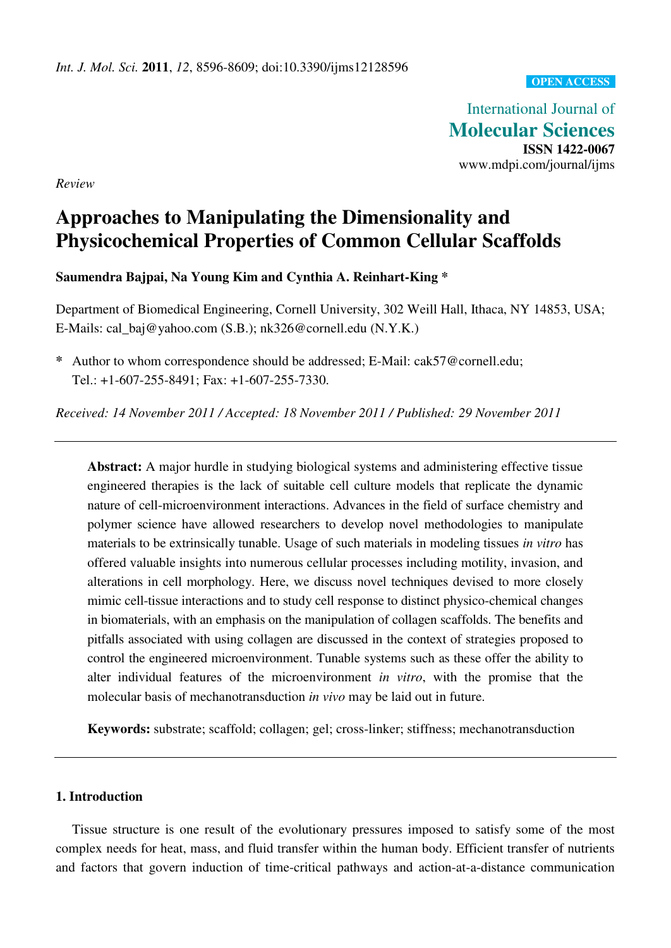**OPEN ACCESS**

International Journal of **Molecular Sciences ISSN 1422-0067**  www.mdpi.com/journal/ijms

*Review* 

# **Approaches to Manipulating the Dimensionality and Physicochemical Properties of Common Cellular Scaffolds**

**Saumendra Bajpai, Na Young Kim and Cynthia A. Reinhart-King \***

Department of Biomedical Engineering, Cornell University, 302 Weill Hall, Ithaca, NY 14853, USA; E-Mails: cal\_baj@yahoo.com (S.B.); nk326@cornell.edu (N.Y.K.)

**\*** Author to whom correspondence should be addressed; E-Mail: cak57@cornell.edu; Tel.: +1-607-255-8491; Fax: +1-607-255-7330.

*Received: 14 November 2011 / Accepted: 18 November 2011 / Published: 29 November 2011* 

**Abstract:** A major hurdle in studying biological systems and administering effective tissue engineered therapies is the lack of suitable cell culture models that replicate the dynamic nature of cell-microenvironment interactions. Advances in the field of surface chemistry and polymer science have allowed researchers to develop novel methodologies to manipulate materials to be extrinsically tunable. Usage of such materials in modeling tissues *in vitro* has offered valuable insights into numerous cellular processes including motility, invasion, and alterations in cell morphology. Here, we discuss novel techniques devised to more closely mimic cell-tissue interactions and to study cell response to distinct physico-chemical changes in biomaterials, with an emphasis on the manipulation of collagen scaffolds. The benefits and pitfalls associated with using collagen are discussed in the context of strategies proposed to control the engineered microenvironment. Tunable systems such as these offer the ability to alter individual features of the microenvironment *in vitro*, with the promise that the molecular basis of mechanotransduction *in vivo* may be laid out in future.

**Keywords:** substrate; scaffold; collagen; gel; cross-linker; stiffness; mechanotransduction

# **1. Introduction**

Tissue structure is one result of the evolutionary pressures imposed to satisfy some of the most complex needs for heat, mass, and fluid transfer within the human body. Efficient transfer of nutrients and factors that govern induction of time-critical pathways and action-at-a-distance communication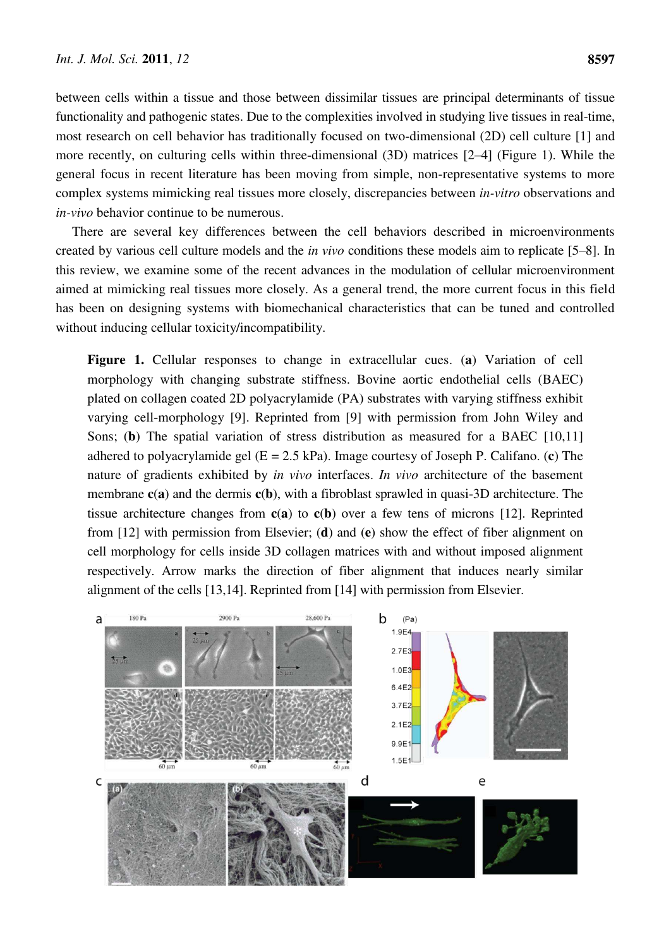between cells within a tissue and those between dissimilar tissues are principal determinants of tissue functionality and pathogenic states. Due to the complexities involved in studying live tissues in real-time, most research on cell behavior has traditionally focused on two-dimensional (2D) cell culture [1] and more recently, on culturing cells within three-dimensional (3D) matrices [2–4] (Figure 1). While the general focus in recent literature has been moving from simple, non-representative systems to more complex systems mimicking real tissues more closely, discrepancies between *in-vitro* observations and *in-vivo* behavior continue to be numerous.

There are several key differences between the cell behaviors described in microenvironments created by various cell culture models and the *in vivo* conditions these models aim to replicate [5–8]. In this review, we examine some of the recent advances in the modulation of cellular microenvironment aimed at mimicking real tissues more closely. As a general trend, the more current focus in this field has been on designing systems with biomechanical characteristics that can be tuned and controlled without inducing cellular toxicity/incompatibility.

**Figure 1.** Cellular responses to change in extracellular cues. (**a**) Variation of cell morphology with changing substrate stiffness. Bovine aortic endothelial cells (BAEC) plated on collagen coated 2D polyacrylamide (PA) substrates with varying stiffness exhibit varying cell-morphology [9]. Reprinted from [9] with permission from John Wiley and Sons; (b) The spatial variation of stress distribution as measured for a BAEC [10,11] adhered to polyacrylamide gel (E = 2.5 kPa). Image courtesy of Joseph P. Califano. (**c**) The nature of gradients exhibited by *in vivo* interfaces. *In vivo* architecture of the basement membrane **c**(**a**) and the dermis **c**(**b**), with a fibroblast sprawled in quasi-3D architecture. The tissue architecture changes from **c**(**a**) to **c**(**b**) over a few tens of microns [12]. Reprinted from [12] with permission from Elsevier; (**d**) and (**e**) show the effect of fiber alignment on cell morphology for cells inside 3D collagen matrices with and without imposed alignment respectively. Arrow marks the direction of fiber alignment that induces nearly similar alignment of the cells [13,14]. Reprinted from [14] with permission from Elsevier.

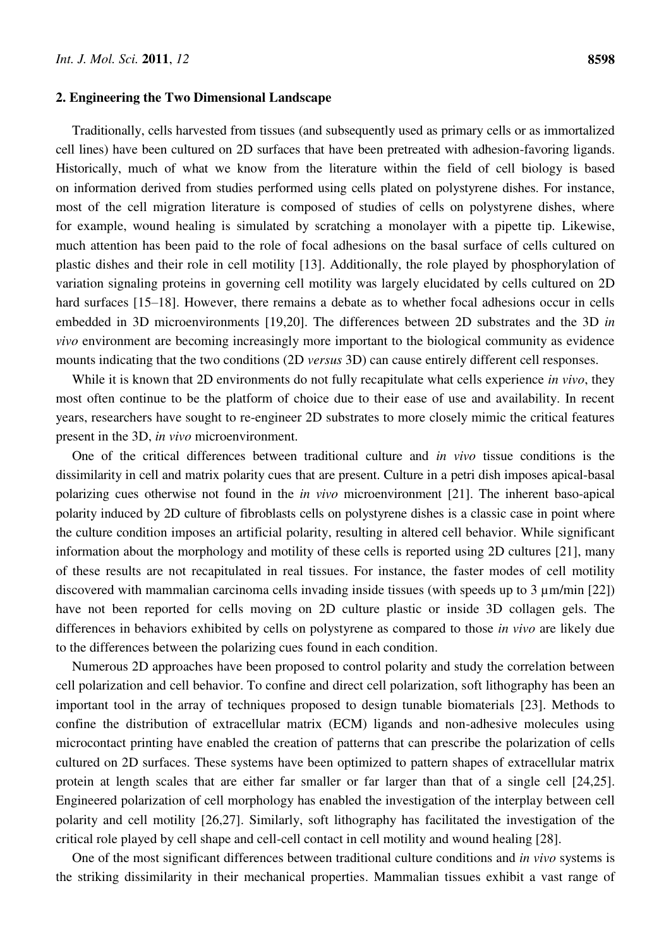## **2. Engineering the Two Dimensional Landscape**

Traditionally, cells harvested from tissues (and subsequently used as primary cells or as immortalized cell lines) have been cultured on 2D surfaces that have been pretreated with adhesion-favoring ligands. Historically, much of what we know from the literature within the field of cell biology is based on information derived from studies performed using cells plated on polystyrene dishes. For instance, most of the cell migration literature is composed of studies of cells on polystyrene dishes, where for example, wound healing is simulated by scratching a monolayer with a pipette tip. Likewise, much attention has been paid to the role of focal adhesions on the basal surface of cells cultured on plastic dishes and their role in cell motility [13]. Additionally, the role played by phosphorylation of variation signaling proteins in governing cell motility was largely elucidated by cells cultured on 2D hard surfaces [15–18]. However, there remains a debate as to whether focal adhesions occur in cells embedded in 3D microenvironments [19,20]. The differences between 2D substrates and the 3D *in vivo* environment are becoming increasingly more important to the biological community as evidence mounts indicating that the two conditions (2D *versus* 3D) can cause entirely different cell responses.

While it is known that 2D environments do not fully recapitulate what cells experience *in vivo*, they most often continue to be the platform of choice due to their ease of use and availability. In recent years, researchers have sought to re-engineer 2D substrates to more closely mimic the critical features present in the 3D, *in vivo* microenvironment.

One of the critical differences between traditional culture and *in vivo* tissue conditions is the dissimilarity in cell and matrix polarity cues that are present. Culture in a petri dish imposes apical-basal polarizing cues otherwise not found in the *in vivo* microenvironment [21]. The inherent baso-apical polarity induced by 2D culture of fibroblasts cells on polystyrene dishes is a classic case in point where the culture condition imposes an artificial polarity, resulting in altered cell behavior. While significant information about the morphology and motility of these cells is reported using 2D cultures [21], many of these results are not recapitulated in real tissues. For instance, the faster modes of cell motility discovered with mammalian carcinoma cells invading inside tissues (with speeds up to  $3 \mu m/min$  [22]) have not been reported for cells moving on 2D culture plastic or inside 3D collagen gels. The differences in behaviors exhibited by cells on polystyrene as compared to those *in vivo* are likely due to the differences between the polarizing cues found in each condition.

Numerous 2D approaches have been proposed to control polarity and study the correlation between cell polarization and cell behavior. To confine and direct cell polarization, soft lithography has been an important tool in the array of techniques proposed to design tunable biomaterials [23]. Methods to confine the distribution of extracellular matrix (ECM) ligands and non-adhesive molecules using microcontact printing have enabled the creation of patterns that can prescribe the polarization of cells cultured on 2D surfaces. These systems have been optimized to pattern shapes of extracellular matrix protein at length scales that are either far smaller or far larger than that of a single cell [24,25]. Engineered polarization of cell morphology has enabled the investigation of the interplay between cell polarity and cell motility [26,27]. Similarly, soft lithography has facilitated the investigation of the critical role played by cell shape and cell-cell contact in cell motility and wound healing [28].

One of the most significant differences between traditional culture conditions and *in vivo* systems is the striking dissimilarity in their mechanical properties. Mammalian tissues exhibit a vast range of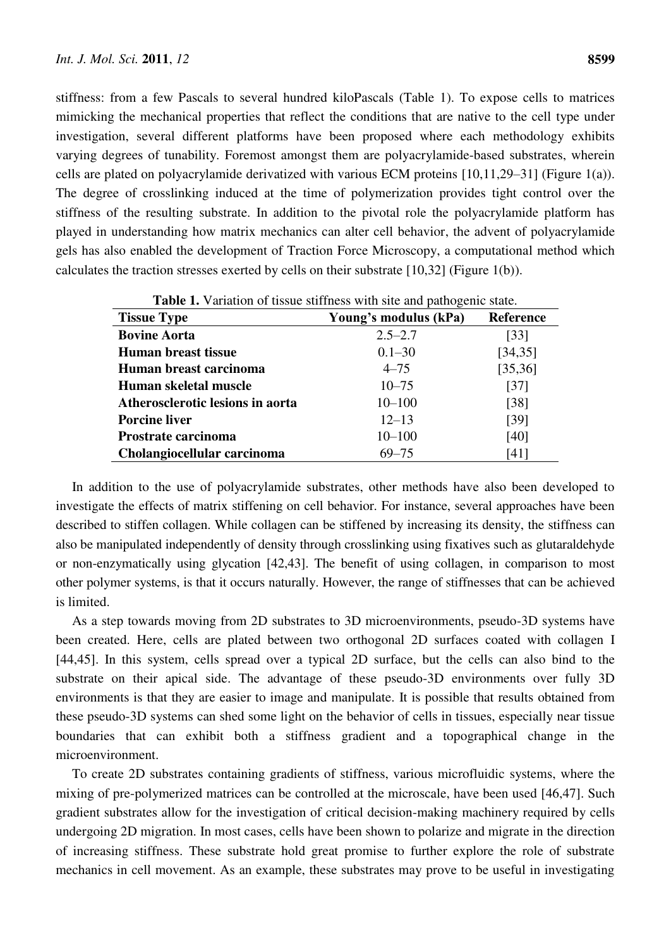stiffness: from a few Pascals to several hundred kiloPascals (Table 1). To expose cells to matrices mimicking the mechanical properties that reflect the conditions that are native to the cell type under investigation, several different platforms have been proposed where each methodology exhibits varying degrees of tunability. Foremost amongst them are polyacrylamide-based substrates, wherein cells are plated on polyacrylamide derivatized with various ECM proteins [10,11,29–31] (Figure 1(a)). The degree of crosslinking induced at the time of polymerization provides tight control over the stiffness of the resulting substrate. In addition to the pivotal role the polyacrylamide platform has played in understanding how matrix mechanics can alter cell behavior, the advent of polyacrylamide gels has also enabled the development of Traction Force Microscopy, a computational method which calculates the traction stresses exerted by cells on their substrate [10,32] (Figure 1(b)).

| <b>Tuble 1.</b> Turniton of hoode strings with site and pathogenic state. |                       |                  |
|---------------------------------------------------------------------------|-----------------------|------------------|
| <b>Tissue Type</b>                                                        | Young's modulus (kPa) | <b>Reference</b> |
| <b>Bovine Aorta</b>                                                       | $2.5 - 2.7$           | $[33]$           |
| Human breast tissue                                                       | $0.1 - 30$            | [34, 35]         |
| Human breast carcinoma                                                    | $4 - 75$              | [35,36]          |
| Human skeletal muscle                                                     | $10 - 75$             | $[37]$           |
| Atherosclerotic lesions in aorta                                          | $10 - 100$            | [38]             |
| <b>Porcine liver</b>                                                      | $12 - 13$             | $[39]$           |
| Prostrate carcinoma                                                       | $10 - 100$            | $[40]$           |
| Cholangiocellular carcinoma                                               | $69 - 75$             | [41]             |

**Table 1.** Variation of tissue stiffness with site and pathogenic state.

In addition to the use of polyacrylamide substrates, other methods have also been developed to investigate the effects of matrix stiffening on cell behavior. For instance, several approaches have been described to stiffen collagen. While collagen can be stiffened by increasing its density, the stiffness can also be manipulated independently of density through crosslinking using fixatives such as glutaraldehyde or non-enzymatically using glycation [42,43]. The benefit of using collagen, in comparison to most other polymer systems, is that it occurs naturally. However, the range of stiffnesses that can be achieved is limited.

As a step towards moving from 2D substrates to 3D microenvironments, pseudo-3D systems have been created. Here, cells are plated between two orthogonal 2D surfaces coated with collagen I [44,45]. In this system, cells spread over a typical 2D surface, but the cells can also bind to the substrate on their apical side. The advantage of these pseudo-3D environments over fully 3D environments is that they are easier to image and manipulate. It is possible that results obtained from these pseudo-3D systems can shed some light on the behavior of cells in tissues, especially near tissue boundaries that can exhibit both a stiffness gradient and a topographical change in the microenvironment.

To create 2D substrates containing gradients of stiffness, various microfluidic systems, where the mixing of pre-polymerized matrices can be controlled at the microscale, have been used [46,47]. Such gradient substrates allow for the investigation of critical decision-making machinery required by cells undergoing 2D migration. In most cases, cells have been shown to polarize and migrate in the direction of increasing stiffness. These substrate hold great promise to further explore the role of substrate mechanics in cell movement. As an example, these substrates may prove to be useful in investigating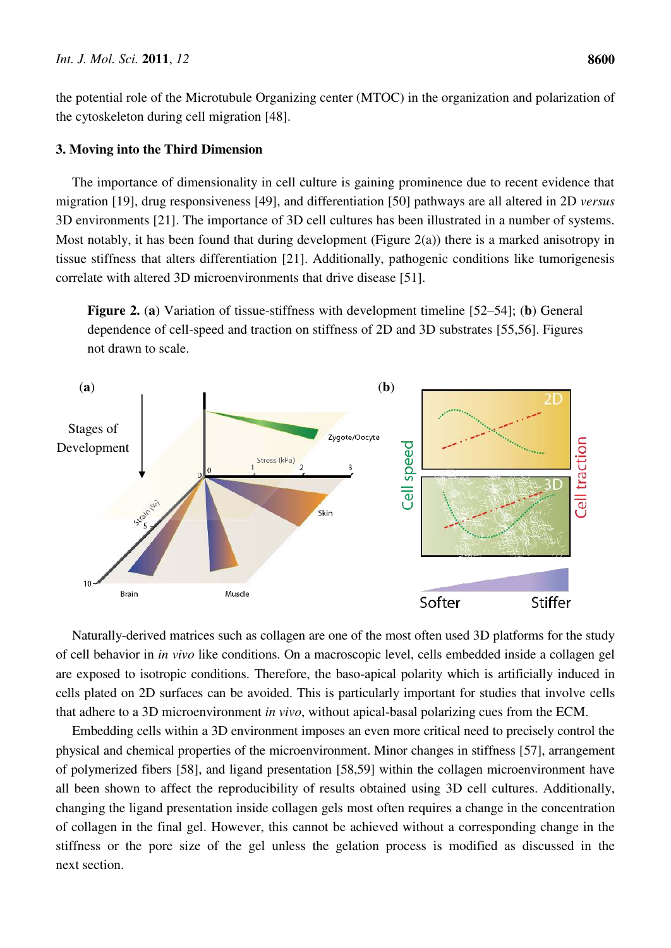the potential role of the Microtubule Organizing center (MTOC) in the organization and polarization of the cytoskeleton during cell migration [48].

## **3. Moving into the Third Dimension**

The importance of dimensionality in cell culture is gaining prominence due to recent evidence that migration [19], drug responsiveness [49], and differentiation [50] pathways are all altered in 2D *versus* 3D environments [21]. The importance of 3D cell cultures has been illustrated in a number of systems. Most notably, it has been found that during development (Figure 2(a)) there is a marked anisotropy in tissue stiffness that alters differentiation [21]. Additionally, pathogenic conditions like tumorigenesis correlate with altered 3D microenvironments that drive disease [51].

**Figure 2.** (**a**) Variation of tissue-stiffness with development timeline [52–54]; (**b**) General dependence of cell-speed and traction on stiffness of 2D and 3D substrates [55,56]. Figures not drawn to scale.



Naturally-derived matrices such as collagen are one of the most often used 3D platforms for the study of cell behavior in *in vivo* like conditions. On a macroscopic level, cells embedded inside a collagen gel are exposed to isotropic conditions. Therefore, the baso-apical polarity which is artificially induced in cells plated on 2D surfaces can be avoided. This is particularly important for studies that involve cells that adhere to a 3D microenvironment *in vivo*, without apical-basal polarizing cues from the ECM.

Embedding cells within a 3D environment imposes an even more critical need to precisely control the physical and chemical properties of the microenvironment. Minor changes in stiffness [57], arrangement of polymerized fibers [58], and ligand presentation [58,59] within the collagen microenvironment have all been shown to affect the reproducibility of results obtained using 3D cell cultures. Additionally, changing the ligand presentation inside collagen gels most often requires a change in the concentration of collagen in the final gel. However, this cannot be achieved without a corresponding change in the stiffness or the pore size of the gel unless the gelation process is modified as discussed in the next section.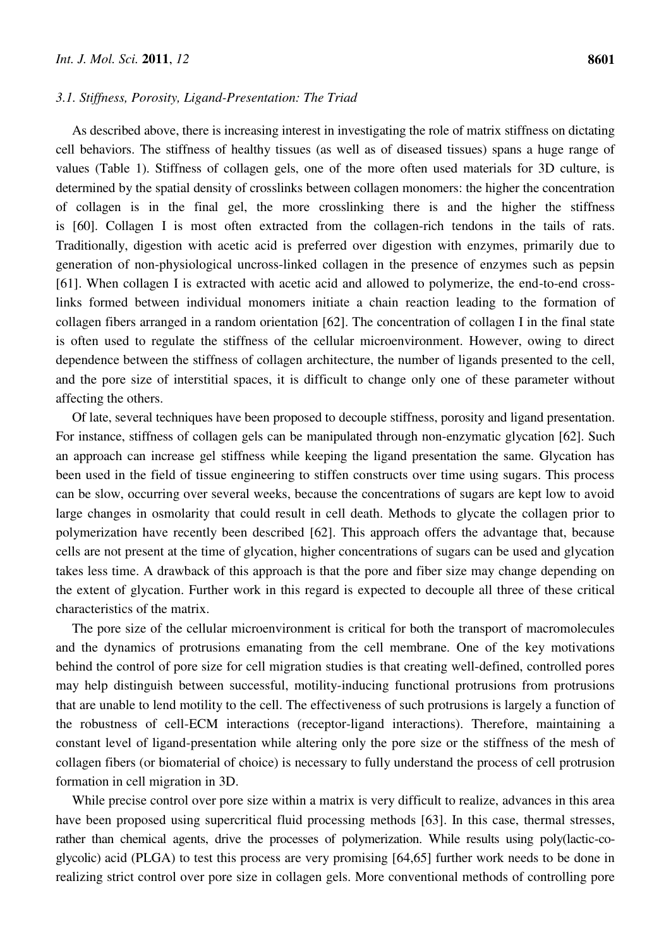## *3.1. Stiffness, Porosity, Ligand-Presentation: The Triad*

As described above, there is increasing interest in investigating the role of matrix stiffness on dictating cell behaviors. The stiffness of healthy tissues (as well as of diseased tissues) spans a huge range of values (Table 1). Stiffness of collagen gels, one of the more often used materials for 3D culture, is determined by the spatial density of crosslinks between collagen monomers: the higher the concentration of collagen is in the final gel, the more crosslinking there is and the higher the stiffness is [60]. Collagen I is most often extracted from the collagen-rich tendons in the tails of rats. Traditionally, digestion with acetic acid is preferred over digestion with enzymes, primarily due to generation of non-physiological uncross-linked collagen in the presence of enzymes such as pepsin [61]. When collagen I is extracted with acetic acid and allowed to polymerize, the end-to-end crosslinks formed between individual monomers initiate a chain reaction leading to the formation of collagen fibers arranged in a random orientation [62]. The concentration of collagen I in the final state is often used to regulate the stiffness of the cellular microenvironment. However, owing to direct dependence between the stiffness of collagen architecture, the number of ligands presented to the cell, and the pore size of interstitial spaces, it is difficult to change only one of these parameter without affecting the others.

Of late, several techniques have been proposed to decouple stiffness, porosity and ligand presentation. For instance, stiffness of collagen gels can be manipulated through non-enzymatic glycation [62]. Such an approach can increase gel stiffness while keeping the ligand presentation the same. Glycation has been used in the field of tissue engineering to stiffen constructs over time using sugars. This process can be slow, occurring over several weeks, because the concentrations of sugars are kept low to avoid large changes in osmolarity that could result in cell death. Methods to glycate the collagen prior to polymerization have recently been described [62]. This approach offers the advantage that, because cells are not present at the time of glycation, higher concentrations of sugars can be used and glycation takes less time. A drawback of this approach is that the pore and fiber size may change depending on the extent of glycation. Further work in this regard is expected to decouple all three of these critical characteristics of the matrix.

The pore size of the cellular microenvironment is critical for both the transport of macromolecules and the dynamics of protrusions emanating from the cell membrane. One of the key motivations behind the control of pore size for cell migration studies is that creating well-defined, controlled pores may help distinguish between successful, motility-inducing functional protrusions from protrusions that are unable to lend motility to the cell. The effectiveness of such protrusions is largely a function of the robustness of cell-ECM interactions (receptor-ligand interactions). Therefore, maintaining a constant level of ligand-presentation while altering only the pore size or the stiffness of the mesh of collagen fibers (or biomaterial of choice) is necessary to fully understand the process of cell protrusion formation in cell migration in 3D.

While precise control over pore size within a matrix is very difficult to realize, advances in this area have been proposed using supercritical fluid processing methods [63]. In this case, thermal stresses, rather than chemical agents, drive the processes of polymerization. While results using poly(lactic-coglycolic) acid (PLGA) to test this process are very promising [64,65] further work needs to be done in realizing strict control over pore size in collagen gels. More conventional methods of controlling pore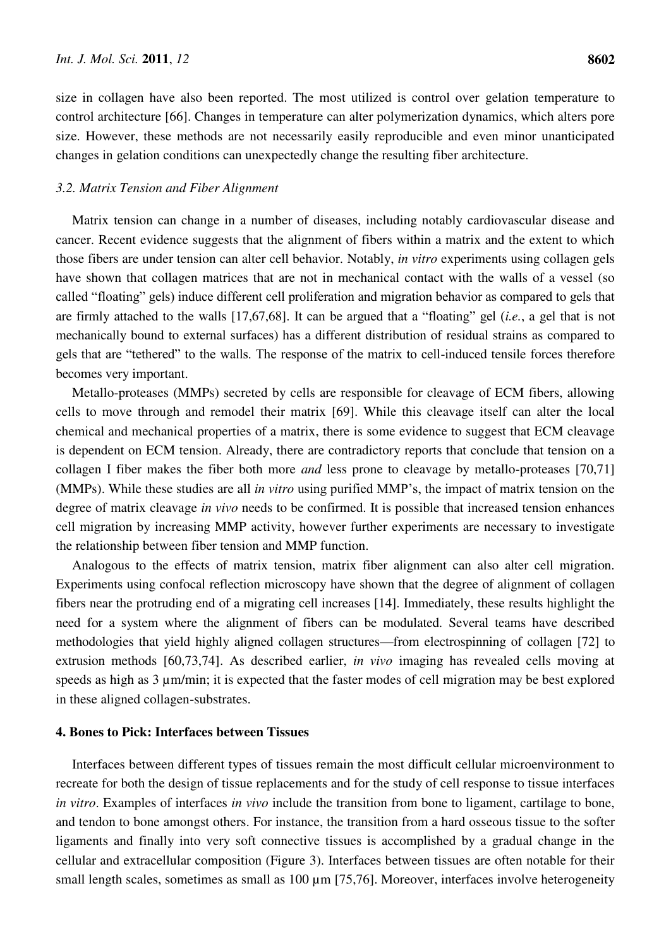size in collagen have also been reported. The most utilized is control over gelation temperature to control architecture [66]. Changes in temperature can alter polymerization dynamics, which alters pore size. However, these methods are not necessarily easily reproducible and even minor unanticipated changes in gelation conditions can unexpectedly change the resulting fiber architecture.

#### *3.2. Matrix Tension and Fiber Alignment*

Matrix tension can change in a number of diseases, including notably cardiovascular disease and cancer. Recent evidence suggests that the alignment of fibers within a matrix and the extent to which those fibers are under tension can alter cell behavior. Notably, *in vitro* experiments using collagen gels have shown that collagen matrices that are not in mechanical contact with the walls of a vessel (so called "floating" gels) induce different cell proliferation and migration behavior as compared to gels that are firmly attached to the walls [17,67,68]. It can be argued that a "floating" gel (*i.e.*, a gel that is not mechanically bound to external surfaces) has a different distribution of residual strains as compared to gels that are "tethered" to the walls. The response of the matrix to cell-induced tensile forces therefore becomes very important.

Metallo-proteases (MMPs) secreted by cells are responsible for cleavage of ECM fibers, allowing cells to move through and remodel their matrix [69]. While this cleavage itself can alter the local chemical and mechanical properties of a matrix, there is some evidence to suggest that ECM cleavage is dependent on ECM tension. Already, there are contradictory reports that conclude that tension on a collagen I fiber makes the fiber both more *and* less prone to cleavage by metallo-proteases [70,71] (MMPs). While these studies are all *in vitro* using purified MMP's, the impact of matrix tension on the degree of matrix cleavage *in vivo* needs to be confirmed. It is possible that increased tension enhances cell migration by increasing MMP activity, however further experiments are necessary to investigate the relationship between fiber tension and MMP function.

Analogous to the effects of matrix tension, matrix fiber alignment can also alter cell migration. Experiments using confocal reflection microscopy have shown that the degree of alignment of collagen fibers near the protruding end of a migrating cell increases [14]. Immediately, these results highlight the need for a system where the alignment of fibers can be modulated. Several teams have described methodologies that yield highly aligned collagen structures—from electrospinning of collagen [72] to extrusion methods [60,73,74]. As described earlier, *in vivo* imaging has revealed cells moving at speeds as high as 3  $\mu$ m/min; it is expected that the faster modes of cell migration may be best explored in these aligned collagen-substrates.

## **4. Bones to Pick: Interfaces between Tissues**

Interfaces between different types of tissues remain the most difficult cellular microenvironment to recreate for both the design of tissue replacements and for the study of cell response to tissue interfaces *in vitro*. Examples of interfaces *in vivo* include the transition from bone to ligament, cartilage to bone, and tendon to bone amongst others. For instance, the transition from a hard osseous tissue to the softer ligaments and finally into very soft connective tissues is accomplished by a gradual change in the cellular and extracellular composition (Figure 3). Interfaces between tissues are often notable for their small length scales, sometimes as small as  $100 \mu m$  [75,76]. Moreover, interfaces involve heterogeneity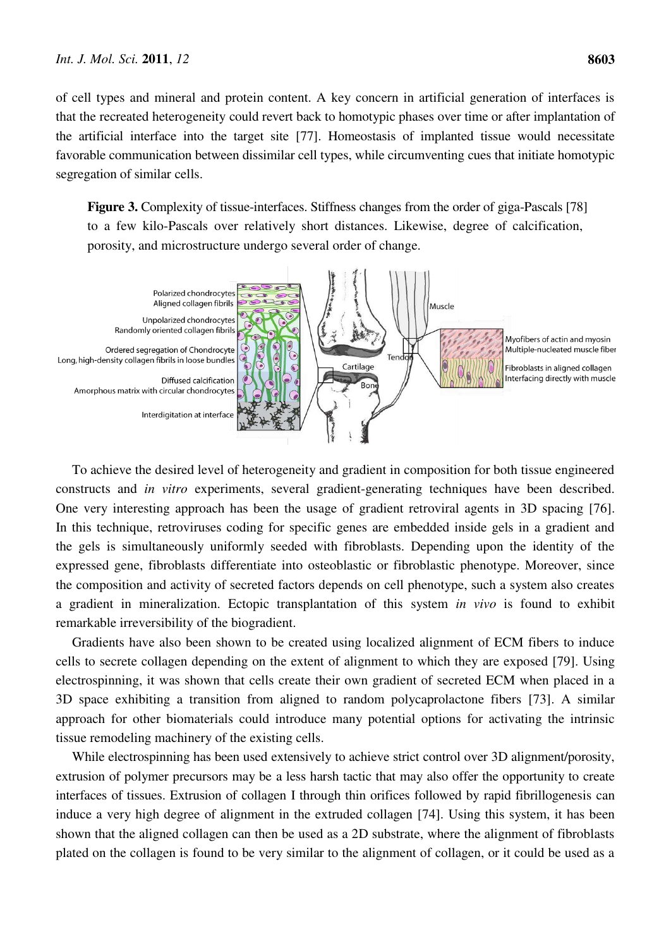of cell types and mineral and protein content. A key concern in artificial generation of interfaces is that the recreated heterogeneity could revert back to homotypic phases over time or after implantation of the artificial interface into the target site [77]. Homeostasis of implanted tissue would necessitate favorable communication between dissimilar cell types, while circumventing cues that initiate homotypic segregation of similar cells.

**Figure 3.** Complexity of tissue-interfaces. Stiffness changes from the order of giga-Pascals [78] to a few kilo-Pascals over relatively short distances. Likewise, degree of calcification, porosity, and microstructure undergo several order of change.



To achieve the desired level of heterogeneity and gradient in composition for both tissue engineered constructs and *in vitro* experiments, several gradient-generating techniques have been described. One very interesting approach has been the usage of gradient retroviral agents in 3D spacing [76]. In this technique, retroviruses coding for specific genes are embedded inside gels in a gradient and the gels is simultaneously uniformly seeded with fibroblasts. Depending upon the identity of the expressed gene, fibroblasts differentiate into osteoblastic or fibroblastic phenotype. Moreover, since the composition and activity of secreted factors depends on cell phenotype, such a system also creates a gradient in mineralization. Ectopic transplantation of this system *in vivo* is found to exhibit remarkable irreversibility of the biogradient.

Gradients have also been shown to be created using localized alignment of ECM fibers to induce cells to secrete collagen depending on the extent of alignment to which they are exposed [79]. Using electrospinning, it was shown that cells create their own gradient of secreted ECM when placed in a 3D space exhibiting a transition from aligned to random polycaprolactone fibers [73]. A similar approach for other biomaterials could introduce many potential options for activating the intrinsic tissue remodeling machinery of the existing cells.

While electrospinning has been used extensively to achieve strict control over 3D alignment/porosity, extrusion of polymer precursors may be a less harsh tactic that may also offer the opportunity to create interfaces of tissues. Extrusion of collagen I through thin orifices followed by rapid fibrillogenesis can induce a very high degree of alignment in the extruded collagen [74]. Using this system, it has been shown that the aligned collagen can then be used as a 2D substrate, where the alignment of fibroblasts plated on the collagen is found to be very similar to the alignment of collagen, or it could be used as a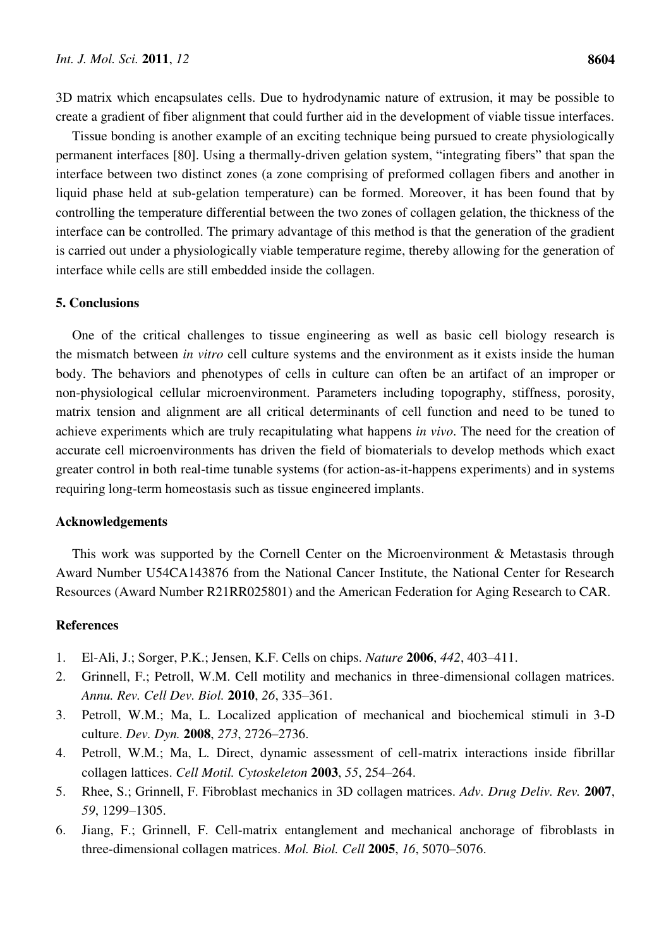3D matrix which encapsulates cells. Due to hydrodynamic nature of extrusion, it may be possible to create a gradient of fiber alignment that could further aid in the development of viable tissue interfaces.

Tissue bonding is another example of an exciting technique being pursued to create physiologically permanent interfaces [80]. Using a thermally-driven gelation system, "integrating fibers" that span the interface between two distinct zones (a zone comprising of preformed collagen fibers and another in liquid phase held at sub-gelation temperature) can be formed. Moreover, it has been found that by controlling the temperature differential between the two zones of collagen gelation, the thickness of the interface can be controlled. The primary advantage of this method is that the generation of the gradient is carried out under a physiologically viable temperature regime, thereby allowing for the generation of interface while cells are still embedded inside the collagen.

## **5. Conclusions**

One of the critical challenges to tissue engineering as well as basic cell biology research is the mismatch between *in vitro* cell culture systems and the environment as it exists inside the human body. The behaviors and phenotypes of cells in culture can often be an artifact of an improper or non-physiological cellular microenvironment. Parameters including topography, stiffness, porosity, matrix tension and alignment are all critical determinants of cell function and need to be tuned to achieve experiments which are truly recapitulating what happens *in vivo*. The need for the creation of accurate cell microenvironments has driven the field of biomaterials to develop methods which exact greater control in both real-time tunable systems (for action-as-it-happens experiments) and in systems requiring long-term homeostasis such as tissue engineered implants.

#### **Acknowledgements**

This work was supported by the Cornell Center on the Microenvironment & Metastasis through Award Number U54CA143876 from the National Cancer Institute, the National Center for Research Resources (Award Number R21RR025801) and the American Federation for Aging Research to CAR.

## **References**

- 1. El-Ali, J.; Sorger, P.K.; Jensen, K.F. Cells on chips. *Nature* **2006**, *442*, 403–411.
- 2. Grinnell, F.; Petroll, W.M. Cell motility and mechanics in three-dimensional collagen matrices. *Annu. Rev. Cell Dev. Biol.* **2010**, *26*, 335–361.
- 3. Petroll, W.M.; Ma, L. Localized application of mechanical and biochemical stimuli in 3-D culture. *Dev. Dyn.* **2008**, *273*, 2726–2736.
- 4. Petroll, W.M.; Ma, L. Direct, dynamic assessment of cell-matrix interactions inside fibrillar collagen lattices. *Cell Motil. Cytoskeleton* **2003**, *55*, 254–264.
- 5. Rhee, S.; Grinnell, F. Fibroblast mechanics in 3D collagen matrices. *Adv. Drug Deliv. Rev.* **2007**, *59*, 1299–1305.
- 6. Jiang, F.; Grinnell, F. Cell-matrix entanglement and mechanical anchorage of fibroblasts in three-dimensional collagen matrices. *Mol. Biol. Cell* **2005**, *16*, 5070–5076.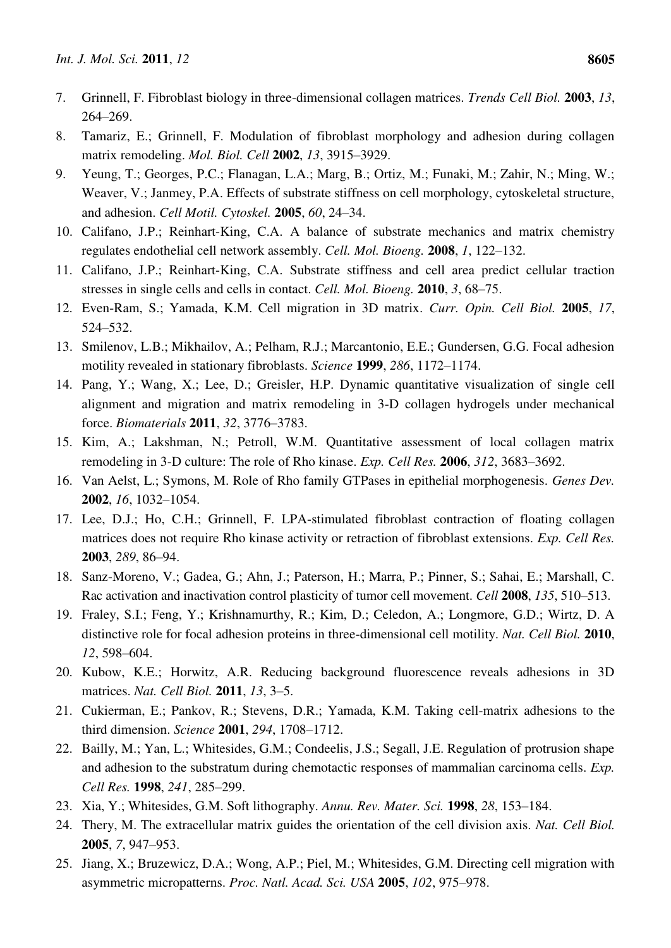- 7. Grinnell, F. Fibroblast biology in three-dimensional collagen matrices. *Trends Cell Biol.* **2003**, *13*, 264–269.
- 8. Tamariz, E.; Grinnell, F. Modulation of fibroblast morphology and adhesion during collagen matrix remodeling. *Mol. Biol. Cell* **2002**, *13*, 3915–3929.
- 9. Yeung, T.; Georges, P.C.; Flanagan, L.A.; Marg, B.; Ortiz, M.; Funaki, M.; Zahir, N.; Ming, W.; Weaver, V.; Janmey, P.A. Effects of substrate stiffness on cell morphology, cytoskeletal structure, and adhesion. *Cell Motil. Cytoskel.* **2005**, *60*, 24–34.
- 10. Califano, J.P.; Reinhart-King, C.A. A balance of substrate mechanics and matrix chemistry regulates endothelial cell network assembly. *Cell. Mol. Bioeng.* **2008**, *1*, 122–132.
- 11. Califano, J.P.; Reinhart-King, C.A. Substrate stiffness and cell area predict cellular traction stresses in single cells and cells in contact. *Cell. Mol. Bioeng.* **2010**, *3*, 68–75.
- 12. Even-Ram, S.; Yamada, K.M. Cell migration in 3D matrix. *Curr. Opin. Cell Biol.* **2005**, *17*, 524–532.
- 13. Smilenov, L.B.; Mikhailov, A.; Pelham, R.J.; Marcantonio, E.E.; Gundersen, G.G. Focal adhesion motility revealed in stationary fibroblasts. *Science* **1999**, *286*, 1172–1174.
- 14. Pang, Y.; Wang, X.; Lee, D.; Greisler, H.P. Dynamic quantitative visualization of single cell alignment and migration and matrix remodeling in 3-D collagen hydrogels under mechanical force. *Biomaterials* **2011**, *32*, 3776–3783.
- 15. Kim, A.; Lakshman, N.; Petroll, W.M. Quantitative assessment of local collagen matrix remodeling in 3-D culture: The role of Rho kinase. *Exp. Cell Res.* **2006**, *312*, 3683–3692.
- 16. Van Aelst, L.; Symons, M. Role of Rho family GTPases in epithelial morphogenesis. *Genes Dev.*  **2002**, *16*, 1032–1054.
- 17. Lee, D.J.; Ho, C.H.; Grinnell, F. LPA-stimulated fibroblast contraction of floating collagen matrices does not require Rho kinase activity or retraction of fibroblast extensions. *Exp. Cell Res.*  **2003**, *289*, 86–94.
- 18. Sanz-Moreno, V.; Gadea, G.; Ahn, J.; Paterson, H.; Marra, P.; Pinner, S.; Sahai, E.; Marshall, C. Rac activation and inactivation control plasticity of tumor cell movement. *Cell* **2008**, *135*, 510–513.
- 19. Fraley, S.I.; Feng, Y.; Krishnamurthy, R.; Kim, D.; Celedon, A.; Longmore, G.D.; Wirtz, D. A distinctive role for focal adhesion proteins in three-dimensional cell motility. *Nat. Cell Biol.* **2010**, *12*, 598–604.
- 20. Kubow, K.E.; Horwitz, A.R. Reducing background fluorescence reveals adhesions in 3D matrices. *Nat. Cell Biol.* **2011**, *13*, 3–5.
- 21. Cukierman, E.; Pankov, R.; Stevens, D.R.; Yamada, K.M. Taking cell-matrix adhesions to the third dimension. *Science* **2001**, *294*, 1708–1712.
- 22. Bailly, M.; Yan, L.; Whitesides, G.M.; Condeelis, J.S.; Segall, J.E. Regulation of protrusion shape and adhesion to the substratum during chemotactic responses of mammalian carcinoma cells. *Exp. Cell Res.* **1998**, *241*, 285–299.
- 23. Xia, Y.; Whitesides, G.M. Soft lithography. *Annu. Rev. Mater. Sci.* **1998**, *28*, 153–184.
- 24. Thery, M. The extracellular matrix guides the orientation of the cell division axis. *Nat. Cell Biol.*  **2005**, *7*, 947–953.
- 25. Jiang, X.; Bruzewicz, D.A.; Wong, A.P.; Piel, M.; Whitesides, G.M. Directing cell migration with asymmetric micropatterns. *Proc. Natl. Acad. Sci. USA* **2005**, *102*, 975–978.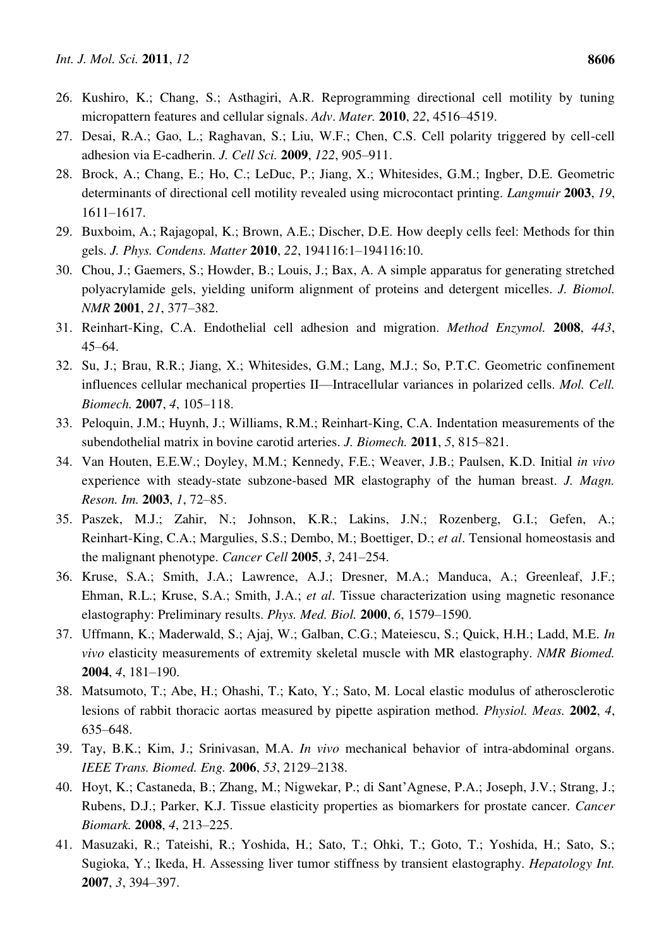- 26. Kushiro, K.; Chang, S.; Asthagiri, A.R. Reprogramming directional cell motility by tuning micropattern features and cellular signals. *Adv*. *Mater.* **2010**, *22*, 4516–4519.
- 27. Desai, R.A.; Gao, L.; Raghavan, S.; Liu, W.F.; Chen, C.S. Cell polarity triggered by cell-cell adhesion via E-cadherin. *J. Cell Sci.* **2009**, *122*, 905–911.
- 28. Brock, A.; Chang, E.; Ho, C.; LeDuc, P.; Jiang, X.; Whitesides, G.M.; Ingber, D.E. Geometric determinants of directional cell motility revealed using microcontact printing. *Langmuir* **2003**, *19*, 1611–1617.
- 29. Buxboim, A.; Rajagopal, K.; Brown, A.E.; Discher, D.E. How deeply cells feel: Methods for thin gels. *J. Phys. Condens. Matter* **2010**, *22*, 194116:1–194116:10.
- 30. Chou, J.; Gaemers, S.; Howder, B.; Louis, J.; Bax, A. A simple apparatus for generating stretched polyacrylamide gels, yielding uniform alignment of proteins and detergent micelles. *J. Biomol. NMR* **2001**, *21*, 377–382.
- 31. Reinhart-King, C.A. Endothelial cell adhesion and migration. *Method Enzymol.* **2008**, *443*, 45–64.
- 32. Su, J.; Brau, R.R.; Jiang, X.; Whitesides, G.M.; Lang, M.J.; So, P.T.C. Geometric confinement influences cellular mechanical properties II—Intracellular variances in polarized cells. *Mol. Cell. Biomech.* **2007**, *4*, 105–118.
- 33. Peloquin, J.M.; Huynh, J.; Williams, R.M.; Reinhart-King, C.A. Indentation measurements of the subendothelial matrix in bovine carotid arteries. *J. Biomech.* **2011**, *5*, 815–821.
- 34. Van Houten, E.E.W.; Doyley, M.M.; Kennedy, F.E.; Weaver, J.B.; Paulsen, K.D. Initial *in vivo* experience with steady-state subzone-based MR elastography of the human breast. *J. Magn. Reson. Im.* **2003**, *1*, 72–85.
- 35. Paszek, M.J.; Zahir, N.; Johnson, K.R.; Lakins, J.N.; Rozenberg, G.I.; Gefen, A.; Reinhart-King, C.A.; Margulies, S.S.; Dembo, M.; Boettiger, D.; *et al*. Tensional homeostasis and the malignant phenotype. *Cancer Cell* **2005**, *3*, 241–254.
- 36. Kruse, S.A.; Smith, J.A.; Lawrence, A.J.; Dresner, M.A.; Manduca, A.; Greenleaf, J.F.; Ehman, R.L.; Kruse, S.A.; Smith, J.A.; *et al*. Tissue characterization using magnetic resonance elastography: Preliminary results. *Phys. Med. Biol.* **2000**, *6*, 1579–1590.
- 37. Uffmann, K.; Maderwald, S.; Ajaj, W.; Galban, C.G.; Mateiescu, S.; Quick, H.H.; Ladd, M.E. *In vivo* elasticity measurements of extremity skeletal muscle with MR elastography. *NMR Biomed.*  **2004**, *4*, 181–190.
- 38. Matsumoto, T.; Abe, H.; Ohashi, T.; Kato, Y.; Sato, M. Local elastic modulus of atherosclerotic lesions of rabbit thoracic aortas measured by pipette aspiration method. *Physiol. Meas.* **2002**, *4*, 635–648.
- 39. Tay, B.K.; Kim, J.; Srinivasan, M.A. *In vivo* mechanical behavior of intra-abdominal organs. *IEEE Trans. Biomed. Eng.* **2006**, *53*, 2129–2138.
- 40. Hoyt, K.; Castaneda, B.; Zhang, M.; Nigwekar, P.; di Sant'Agnese, P.A.; Joseph, J.V.; Strang, J.; Rubens, D.J.; Parker, K.J. Tissue elasticity properties as biomarkers for prostate cancer. *Cancer Biomark.* **2008**, *4*, 213–225.
- 41. Masuzaki, R.; Tateishi, R.; Yoshida, H.; Sato, T.; Ohki, T.; Goto, T.; Yoshida, H.; Sato, S.; Sugioka, Y.; Ikeda, H. Assessing liver tumor stiffness by transient elastography. *Hepatology Int.*  **2007**, *3*, 394–397.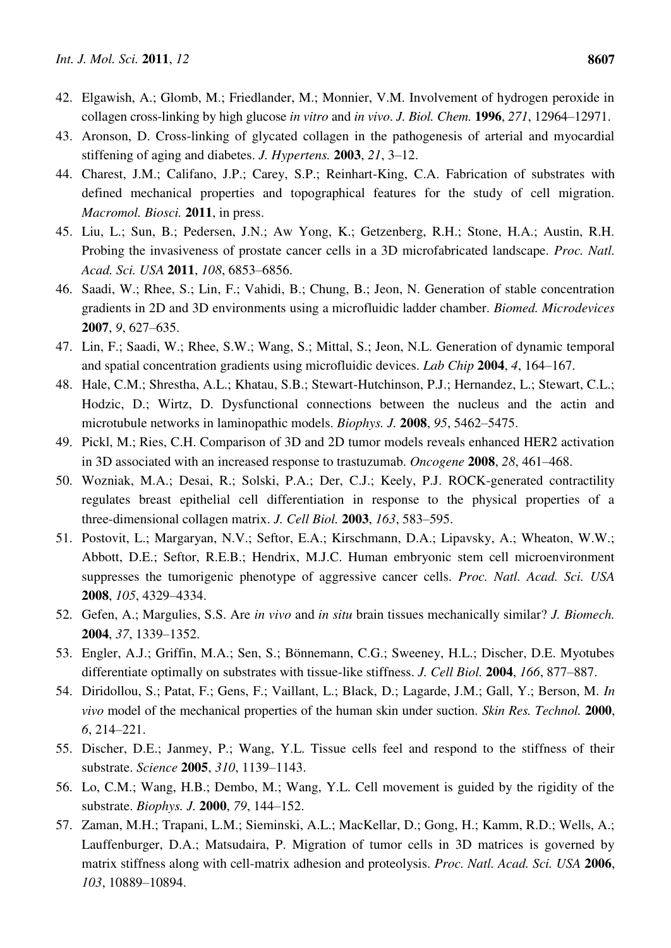- 42. Elgawish, A.; Glomb, M.; Friedlander, M.; Monnier, V.M. Involvement of hydrogen peroxide in collagen cross-linking by high glucose *in vitro* and *in vivo*. *J. Biol. Chem.* **1996**, *271*, 12964–12971.
- 43. Aronson, D. Cross-linking of glycated collagen in the pathogenesis of arterial and myocardial stiffening of aging and diabetes. *J. Hypertens.* **2003**, *21*, 3–12.
- 44. Charest, J.M.; Califano, J.P.; Carey, S.P.; Reinhart-King, C.A. Fabrication of substrates with defined mechanical properties and topographical features for the study of cell migration. *Macromol. Biosci.* **2011**, in press.
- 45. Liu, L.; Sun, B.; Pedersen, J.N.; Aw Yong, K.; Getzenberg, R.H.; Stone, H.A.; Austin, R.H. Probing the invasiveness of prostate cancer cells in a 3D microfabricated landscape. *Proc. Natl. Acad. Sci. USA* **2011**, *108*, 6853–6856.
- 46. Saadi, W.; Rhee, S.; Lin, F.; Vahidi, B.; Chung, B.; Jeon, N. Generation of stable concentration gradients in 2D and 3D environments using a microfluidic ladder chamber. *Biomed. Microdevices*  **2007**, *9*, 627–635.
- 47. Lin, F.; Saadi, W.; Rhee, S.W.; Wang, S.; Mittal, S.; Jeon, N.L. Generation of dynamic temporal and spatial concentration gradients using microfluidic devices. *Lab Chip* **2004**, *4*, 164–167.
- 48. Hale, C.M.; Shrestha, A.L.; Khatau, S.B.; Stewart-Hutchinson, P.J.; Hernandez, L.; Stewart, C.L.; Hodzic, D.; Wirtz, D. Dysfunctional connections between the nucleus and the actin and microtubule networks in laminopathic models. *Biophys. J.* **2008**, *95*, 5462–5475.
- 49. Pickl, M.; Ries, C.H. Comparison of 3D and 2D tumor models reveals enhanced HER2 activation in 3D associated with an increased response to trastuzumab. *Oncogene* **2008**, *28*, 461–468.
- 50. Wozniak, M.A.; Desai, R.; Solski, P.A.; Der, C.J.; Keely, P.J. ROCK-generated contractility regulates breast epithelial cell differentiation in response to the physical properties of a three-dimensional collagen matrix. *J. Cell Biol.* **2003**, *163*, 583–595.
- 51. Postovit, L.; Margaryan, N.V.; Seftor, E.A.; Kirschmann, D.A.; Lipavsky, A.; Wheaton, W.W.; Abbott, D.E.; Seftor, R.E.B.; Hendrix, M.J.C. Human embryonic stem cell microenvironment suppresses the tumorigenic phenotype of aggressive cancer cells. *Proc. Natl. Acad. Sci. USA*  **2008**, *105*, 4329–4334.
- 52. Gefen, A.; Margulies, S.S. Are *in vivo* and *in situ* brain tissues mechanically similar? *J. Biomech.*  **2004**, *37*, 1339–1352.
- 53. Engler, A.J.; Griffin, M.A.; Sen, S.; Bönnemann, C.G.; Sweeney, H.L.; Discher, D.E. Myotubes differentiate optimally on substrates with tissue-like stiffness. *J. Cell Biol.* **2004**, *166*, 877–887.
- 54. Diridollou, S.; Patat, F.; Gens, F.; Vaillant, L.; Black, D.; Lagarde, J.M.; Gall, Y.; Berson, M. *In vivo* model of the mechanical properties of the human skin under suction. *Skin Res. Technol.* **2000**, *6*, 214–221.
- 55. Discher, D.E.; Janmey, P.; Wang, Y.L. Tissue cells feel and respond to the stiffness of their substrate. *Science* **2005**, *310*, 1139–1143.
- 56. Lo, C.M.; Wang, H.B.; Dembo, M.; Wang, Y.L. Cell movement is guided by the rigidity of the substrate. *Biophys. J.* **2000**, *79*, 144–152.
- 57. Zaman, M.H.; Trapani, L.M.; Sieminski, A.L.; MacKellar, D.; Gong, H.; Kamm, R.D.; Wells, A.; Lauffenburger, D.A.; Matsudaira, P. Migration of tumor cells in 3D matrices is governed by matrix stiffness along with cell-matrix adhesion and proteolysis. *Proc. Natl. Acad. Sci. USA* **2006**, *103*, 10889–10894.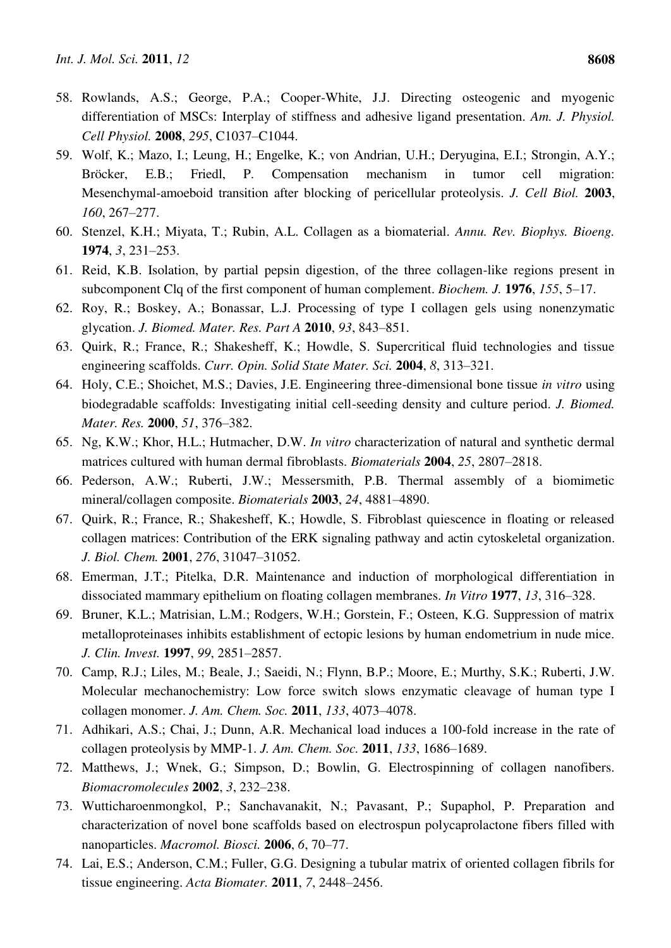- 58. Rowlands, A.S.; George, P.A.; Cooper-White, J.J. Directing osteogenic and myogenic differentiation of MSCs: Interplay of stiffness and adhesive ligand presentation. *Am. J. Physiol. Cell Physiol.* **2008**, *295*, C1037–C1044.
- 59. Wolf, K.; Mazo, I.; Leung, H.; Engelke, K.; von Andrian, U.H.; Deryugina, E.I.; Strongin, A.Y.; Bröcker, E.B.; Friedl, P. Compensation mechanism in tumor cell migration: Mesenchymal-amoeboid transition after blocking of pericellular proteolysis. *J. Cell Biol.* **2003**, *160*, 267–277.
- 60. Stenzel, K.H.; Miyata, T.; Rubin, A.L. Collagen as a biomaterial. *Annu. Rev. Biophys. Bioeng.*  **1974**, *3*, 231–253.
- 61. Reid, K.B. Isolation, by partial pepsin digestion, of the three collagen-like regions present in subcomponent Clq of the first component of human complement. *Biochem. J.* **1976**, *155*, 5–17.
- 62. Roy, R.; Boskey, A.; Bonassar, L.J. Processing of type I collagen gels using nonenzymatic glycation. *J. Biomed. Mater. Res. Part A* **2010**, *93*, 843–851.
- 63. Quirk, R.; France, R.; Shakesheff, K.; Howdle, S. Supercritical fluid technologies and tissue engineering scaffolds. *Curr. Opin. Solid State Mater. Sci.* **2004**, *8*, 313–321.
- 64. Holy, C.E.; Shoichet, M.S.; Davies, J.E. Engineering three-dimensional bone tissue *in vitro* using biodegradable scaffolds: Investigating initial cell-seeding density and culture period. *J. Biomed. Mater. Res.* **2000**, *51*, 376–382.
- 65. Ng, K.W.; Khor, H.L.; Hutmacher, D.W. *In vitro* characterization of natural and synthetic dermal matrices cultured with human dermal fibroblasts. *Biomaterials* **2004**, *25*, 2807–2818.
- 66. Pederson, A.W.; Ruberti, J.W.; Messersmith, P.B. Thermal assembly of a biomimetic mineral/collagen composite. *Biomaterials* **2003**, *24*, 4881–4890.
- 67. Quirk, R.; France, R.; Shakesheff, K.; Howdle, S. Fibroblast quiescence in floating or released collagen matrices: Contribution of the ERK signaling pathway and actin cytoskeletal organization. *J. Biol. Chem.* **2001**, *276*, 31047–31052.
- 68. Emerman, J.T.; Pitelka, D.R. Maintenance and induction of morphological differentiation in dissociated mammary epithelium on floating collagen membranes. *In Vitro* **1977**, *13*, 316–328.
- 69. Bruner, K.L.; Matrisian, L.M.; Rodgers, W.H.; Gorstein, F.; Osteen, K.G. Suppression of matrix metalloproteinases inhibits establishment of ectopic lesions by human endometrium in nude mice. *J. Clin. Invest.* **1997**, *99*, 2851–2857.
- 70. Camp, R.J.; Liles, M.; Beale, J.; Saeidi, N.; Flynn, B.P.; Moore, E.; Murthy, S.K.; Ruberti, J.W. Molecular mechanochemistry: Low force switch slows enzymatic cleavage of human type I collagen monomer. *J. Am. Chem. Soc.* **2011**, *133*, 4073–4078.
- 71. Adhikari, A.S.; Chai, J.; Dunn, A.R. Mechanical load induces a 100-fold increase in the rate of collagen proteolysis by MMP-1. *J. Am. Chem. Soc.* **2011**, *133*, 1686–1689.
- 72. Matthews, J.; Wnek, G.; Simpson, D.; Bowlin, G. Electrospinning of collagen nanofibers. *Biomacromolecules* **2002**, *3*, 232–238.
- 73. Wutticharoenmongkol, P.; Sanchavanakit, N.; Pavasant, P.; Supaphol, P. Preparation and characterization of novel bone scaffolds based on electrospun polycaprolactone fibers filled with nanoparticles. *Macromol. Biosci.* **2006**, *6*, 70–77.
- 74. Lai, E.S.; Anderson, C.M.; Fuller, G.G. Designing a tubular matrix of oriented collagen fibrils for tissue engineering. *Acta Biomater.* **2011**, *7*, 2448–2456.